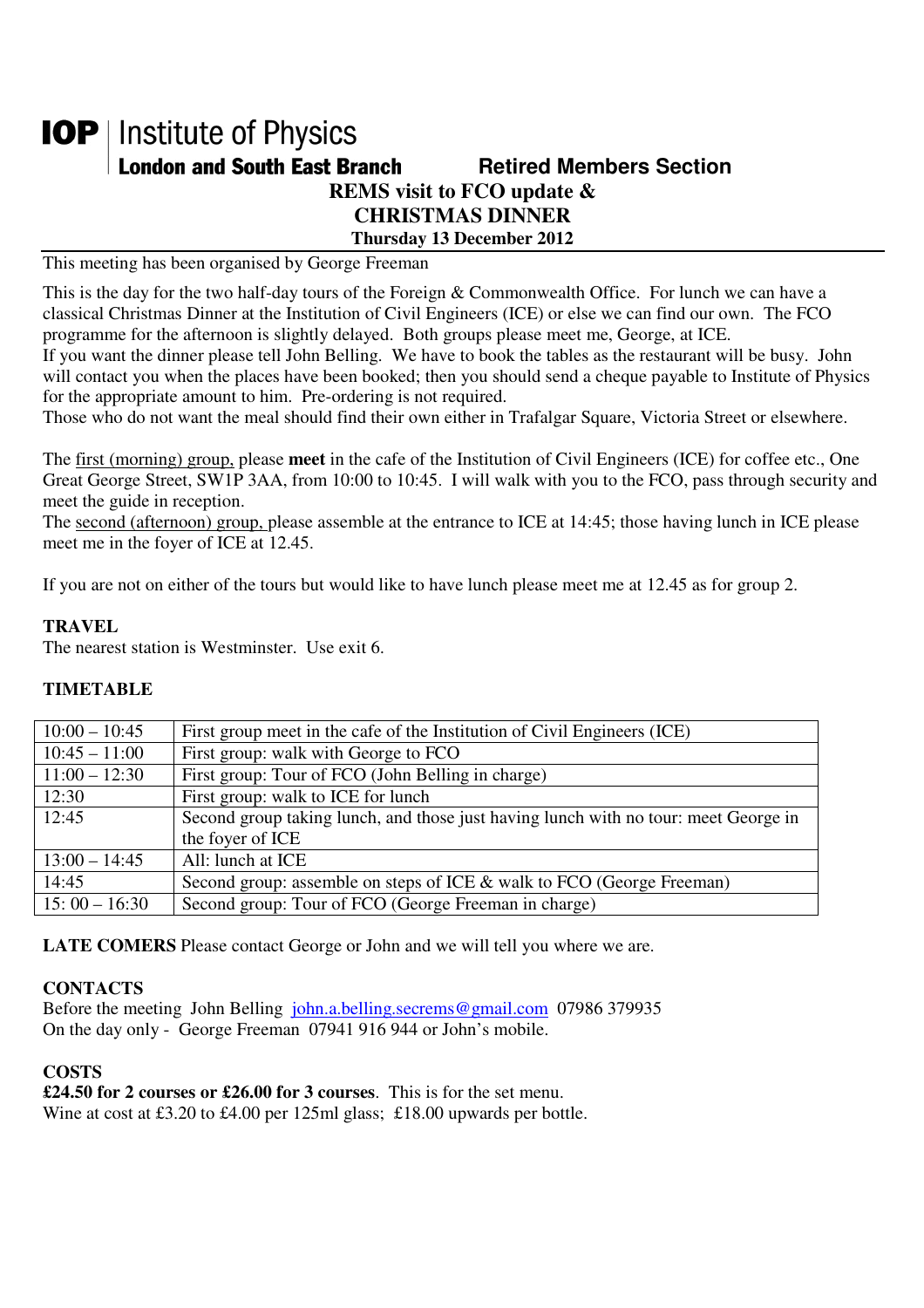# **IOP** | Institute of Physics **London and South East Branch Metired Members Section REMS visit to FCO update & CHRISTMAS DINNER Thursday 13 December 2012**

This meeting has been organised by George Freeman

This is the day for the two half-day tours of the Foreign & Commonwealth Office. For lunch we can have a classical Christmas Dinner at the Institution of Civil Engineers (ICE) or else we can find our own. The FCO programme for the afternoon is slightly delayed. Both groups please meet me, George, at ICE.

If you want the dinner please tell John Belling. We have to book the tables as the restaurant will be busy. John will contact you when the places have been booked; then you should send a cheque payable to Institute of Physics for the appropriate amount to him. Pre-ordering is not required.

Those who do not want the meal should find their own either in Trafalgar Square, Victoria Street or elsewhere.

The first (morning) group, please **meet** in the cafe of the Institution of Civil Engineers (ICE) for coffee etc., One Great George Street, SW1P 3AA, from 10:00 to 10:45. I will walk with you to the FCO, pass through security and meet the guide in reception.

The second (afternoon) group, please assemble at the entrance to ICE at 14:45; those having lunch in ICE please meet me in the foyer of ICE at 12.45.

If you are not on either of the tours but would like to have lunch please meet me at 12.45 as for group 2.

### **TRAVEL**

The nearest station is Westminster. Use exit 6.

## **TIMETABLE**

| $10:00 - 10:45$ | First group meet in the cafe of the Institution of Civil Engineers (ICE)            |
|-----------------|-------------------------------------------------------------------------------------|
| $10:45 - 11:00$ | First group: walk with George to FCO                                                |
| $11:00 - 12:30$ | First group: Tour of FCO (John Belling in charge)                                   |
| 12:30           | First group: walk to ICE for lunch                                                  |
| 12:45           | Second group taking lunch, and those just having lunch with no tour: meet George in |
|                 | the foyer of ICE                                                                    |
| $13:00 - 14:45$ | All: lunch at ICE                                                                   |
| 14:45           | Second group: assemble on steps of ICE & walk to FCO (George Freeman)               |
| $15:00 - 16:30$ | Second group: Tour of FCO (George Freeman in charge)                                |

**LATE COMERS** Please contact George or John and we will tell you where we are.

### **CONTACTS**

Before the meeting John Belling john.a.belling.secrems@gmail.com 07986 379935 On the day only - George Freeman 07941 916 944 or John's mobile.

## **COSTS**

**£24.50 for 2 courses or £26.00 for 3 courses**. This is for the set menu.

Wine at cost at £3.20 to £4.00 per 125ml glass; £18.00 upwards per bottle.